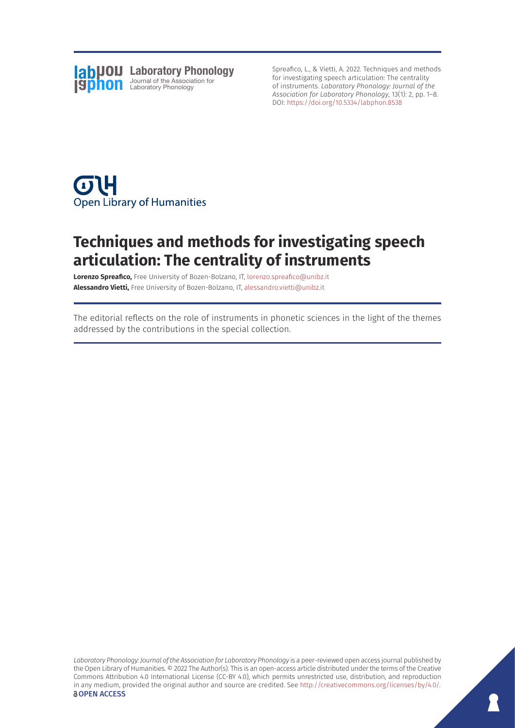

Spreafico, L., & Vietti, A. 2022. Techniques and methods for investigating speech articulation: The centrality of instruments. *Laboratory Phonology: Journal of the Association for Laboratory Phonology*, 13(1): 2, pp. 1–8. DOI: <https://doi.org/10.5334/labphon.8538>



## **Techniques and methods for investigating speech articulation: The centrality of instruments**

**Lorenzo Spreafico,** Free University of Bozen-Bolzano, IT, [lorenzo.spreafico@unibz.it](mailto:lorenzo.spreafico@unibz.it) **Alessandro Vietti,** Free University of Bozen-Bolzano, IT, [alessandro.vietti@unibz.it](mailto:alessandro.vietti@unibz.it)

The editorial reflects on the role of instruments in phonetic sciences in the light of the themes addressed by the contributions in the special collection.

*Laboratory Phonology: Journal of the Association for Laboratory Phonology* is a peer-reviewed open access journal published by the Open Library of Humanities. © 2022 The Author(s). This is an open-access article distributed under the terms of the Creative Commons Attribution 4.0 International License (CC-BY 4.0), which permits unrestricted use, distribution, and reproduction in any medium, provided the original author and source are credited. See [http://creativecommons.org/licenses/by/4.0/.](http://creativecommons.org/licenses/by/4.0/) **OPEN ACCESS**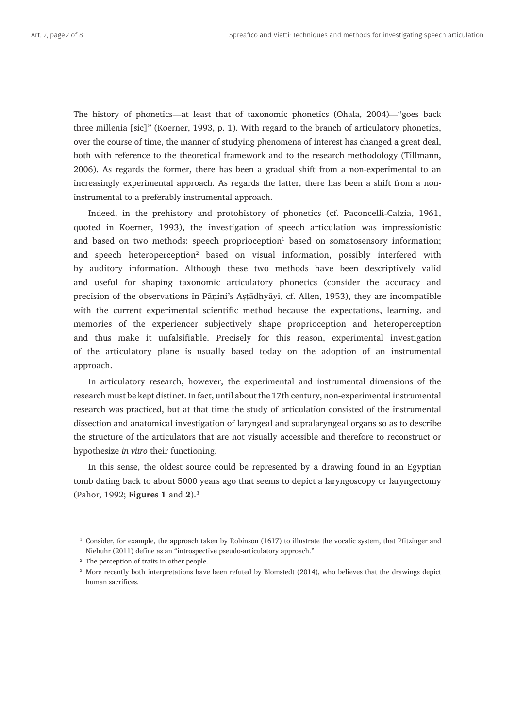The history of phonetics—at least that of taxonomic phonetics (Ohala, 2004)—"goes back three millenia [sic]" (Koerner, 1993, p. 1). With regard to the branch of articulatory phonetics, over the course of time, the manner of studying phenomena of interest has changed a great deal, both with reference to the theoretical framework and to the research methodology (Tillmann, 2006). As regards the former, there has been a gradual shift from a non-experimental to an increasingly experimental approach. As regards the latter, there has been a shift from a noninstrumental to a preferably instrumental approach.

Indeed, in the prehistory and protohistory of phonetics (cf. Paconcelli-Calzia, 1961, quoted in Koerner, 1993), the investigation of speech articulation was impressionistic and based on two methods: speech proprioception<sup>1</sup> based on somatosensory information; and speech heteroperception<sup>2</sup> based on visual information, possibly interfered with by auditory information. Although these two methods have been descriptively valid and useful for shaping taxonomic articulatory phonetics (consider the accuracy and precision of the observations in Pāṇini's Aṣṭādhyāyī, cf. Allen, 1953), they are incompatible with the current experimental scientific method because the expectations, learning, and memories of the experiencer subjectively shape proprioception and heteroperception and thus make it unfalsifiable. Precisely for this reason, experimental investigation of the articulatory plane is usually based today on the adoption of an instrumental approach.

In articulatory research, however, the experimental and instrumental dimensions of the research must be kept distinct. In fact, until about the 17th century, non-experimental instrumental research was practiced, but at that time the study of articulation consisted of the instrumental dissection and anatomical investigation of laryngeal and supralaryngeal organs so as to describe the structure of the articulators that are not visually accessible and therefore to reconstruct or hypothesize *in vitro* their functioning.

In this sense, the oldest source could be represented by a drawing found in an Egyptian tomb dating back to about 5000 years ago that seems to depict a laryngoscopy or laryngectomy (Pahor, 1992; **Figures 1** and **2**).3

<sup>1</sup> Consider, for example, the approach taken by Robinson (1617) to illustrate the vocalic system, that Pfitzinger and Niebuhr (2011) define as an "introspective pseudo-articulatory approach."

<sup>&</sup>lt;sup>2</sup> The perception of traits in other people.

<sup>&</sup>lt;sup>3</sup> More recently both interpretations have been refuted by Blomstedt (2014), who believes that the drawings depict human sacrifices.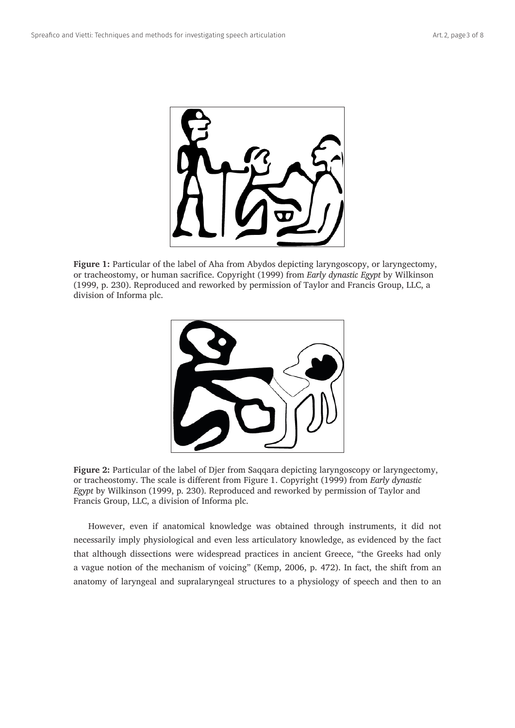

**Figure 1:** Particular of the label of Aha from Abydos depicting laryngoscopy, or laryngectomy, or tracheostomy, or human sacrifice. Copyright (1999) from *Early dynastic Egypt* by Wilkinson (1999, p. 230). Reproduced and reworked by permission of Taylor and Francis Group, LLC, a division of Informa plc.



**Figure 2:** Particular of the label of Djer from Saqqara depicting laryngoscopy or laryngectomy, or tracheostomy. The scale is different from Figure 1. Copyright (1999) from *Early dynastic Egypt* by Wilkinson (1999, p. 230). Reproduced and reworked by permission of Taylor and Francis Group, LLC, a division of Informa plc.

However, even if anatomical knowledge was obtained through instruments, it did not necessarily imply physiological and even less articulatory knowledge, as evidenced by the fact that although dissections were widespread practices in ancient Greece, "the Greeks had only a vague notion of the mechanism of voicing" (Kemp, 2006, p. 472). In fact, the shift from an anatomy of laryngeal and supralaryngeal structures to a physiology of speech and then to an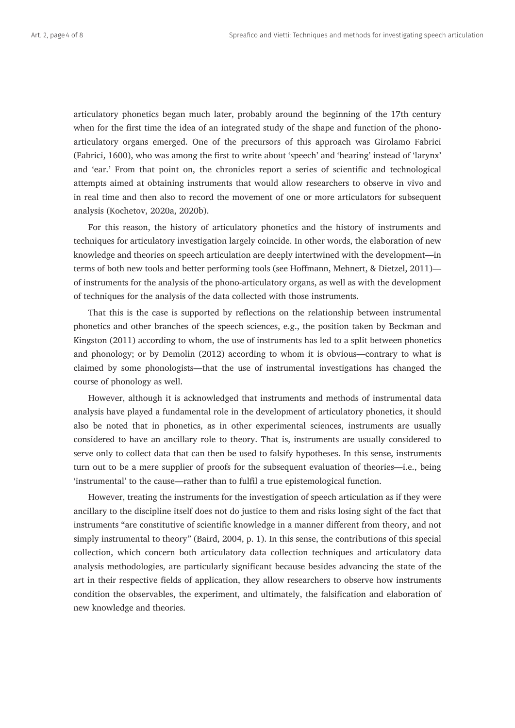articulatory phonetics began much later, probably around the beginning of the 17th century when for the first time the idea of an integrated study of the shape and function of the phonoarticulatory organs emerged. One of the precursors of this approach was Girolamo Fabrici (Fabrici, 1600), who was among the first to write about 'speech' and 'hearing' instead of 'larynx' and 'ear.' From that point on, the chronicles report a series of scientific and technological attempts aimed at obtaining instruments that would allow researchers to observe in vivo and in real time and then also to record the movement of one or more articulators for subsequent analysis (Kochetov, 2020a, 2020b).

For this reason, the history of articulatory phonetics and the history of instruments and techniques for articulatory investigation largely coincide. In other words, the elaboration of new knowledge and theories on speech articulation are deeply intertwined with the development—in terms of both new tools and better performing tools (see Hoffmann, Mehnert, & Dietzel, 2011) of instruments for the analysis of the phono-articulatory organs, as well as with the development of techniques for the analysis of the data collected with those instruments.

That this is the case is supported by reflections on the relationship between instrumental phonetics and other branches of the speech sciences, e.g., the position taken by Beckman and Kingston (2011) according to whom, the use of instruments has led to a split between phonetics and phonology; or by Demolin (2012) according to whom it is obvious—contrary to what is claimed by some phonologists—that the use of instrumental investigations has changed the course of phonology as well.

However, although it is acknowledged that instruments and methods of instrumental data analysis have played a fundamental role in the development of articulatory phonetics, it should also be noted that in phonetics, as in other experimental sciences, instruments are usually considered to have an ancillary role to theory. That is, instruments are usually considered to serve only to collect data that can then be used to falsify hypotheses. In this sense, instruments turn out to be a mere supplier of proofs for the subsequent evaluation of theories—i.e., being 'instrumental' to the cause—rather than to fulfil a true epistemological function.

However, treating the instruments for the investigation of speech articulation as if they were ancillary to the discipline itself does not do justice to them and risks losing sight of the fact that instruments "are constitutive of scientific knowledge in a manner different from theory, and not simply instrumental to theory" (Baird, 2004, p. 1). In this sense, the contributions of this special collection, which concern both articulatory data collection techniques and articulatory data analysis methodologies, are particularly significant because besides advancing the state of the art in their respective fields of application, they allow researchers to observe how instruments condition the observables, the experiment, and ultimately, the falsification and elaboration of new knowledge and theories.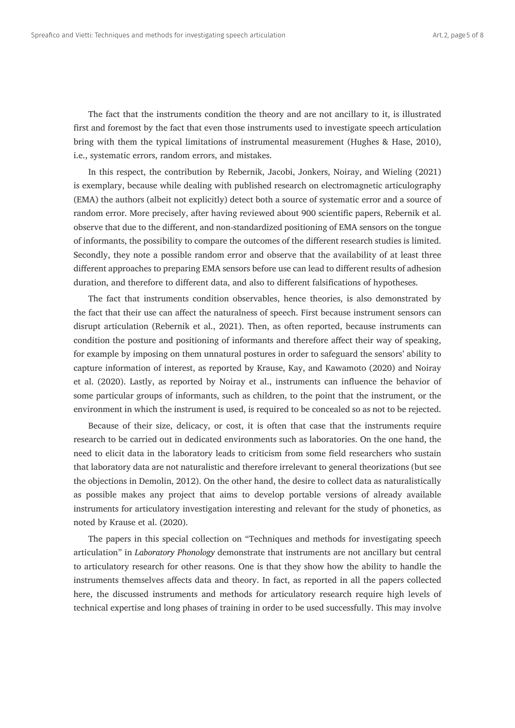The fact that the instruments condition the theory and are not ancillary to it, is illustrated first and foremost by the fact that even those instruments used to investigate speech articulation bring with them the typical limitations of instrumental measurement (Hughes & Hase, 2010), i.e., systematic errors, random errors, and mistakes.

In this respect, the contribution by Rebernik, Jacobi, Jonkers, Noiray, and Wieling (2021) is exemplary, because while dealing with published research on electromagnetic articulography (EMA) the authors (albeit not explicitly) detect both a source of systematic error and a source of random error. More precisely, after having reviewed about 900 scientific papers, Rebernik et al. observe that due to the different, and non-standardized positioning of EMA sensors on the tongue of informants, the possibility to compare the outcomes of the different research studies is limited. Secondly, they note a possible random error and observe that the availability of at least three different approaches to preparing EMA sensors before use can lead to different results of adhesion duration, and therefore to different data, and also to different falsifications of hypotheses.

The fact that instruments condition observables, hence theories, is also demonstrated by the fact that their use can affect the naturalness of speech. First because instrument sensors can disrupt articulation (Rebernik et al., 2021). Then, as often reported, because instruments can condition the posture and positioning of informants and therefore affect their way of speaking, for example by imposing on them unnatural postures in order to safeguard the sensors' ability to capture information of interest, as reported by Krause, Kay, and Kawamoto (2020) and Noiray et al. (2020). Lastly, as reported by Noiray et al., instruments can influence the behavior of some particular groups of informants, such as children, to the point that the instrument, or the environment in which the instrument is used, is required to be concealed so as not to be rejected.

Because of their size, delicacy, or cost, it is often that case that the instruments require research to be carried out in dedicated environments such as laboratories. On the one hand, the need to elicit data in the laboratory leads to criticism from some field researchers who sustain that laboratory data are not naturalistic and therefore irrelevant to general theorizations (but see the objections in Demolin, 2012). On the other hand, the desire to collect data as naturalistically as possible makes any project that aims to develop portable versions of already available instruments for articulatory investigation interesting and relevant for the study of phonetics, as noted by Krause et al. (2020).

The papers in this special collection on "Techniques and methods for investigating speech articulation" in *Laboratory Phonology* demonstrate that instruments are not ancillary but central to articulatory research for other reasons. One is that they show how the ability to handle the instruments themselves affects data and theory. In fact, as reported in all the papers collected here, the discussed instruments and methods for articulatory research require high levels of technical expertise and long phases of training in order to be used successfully. This may involve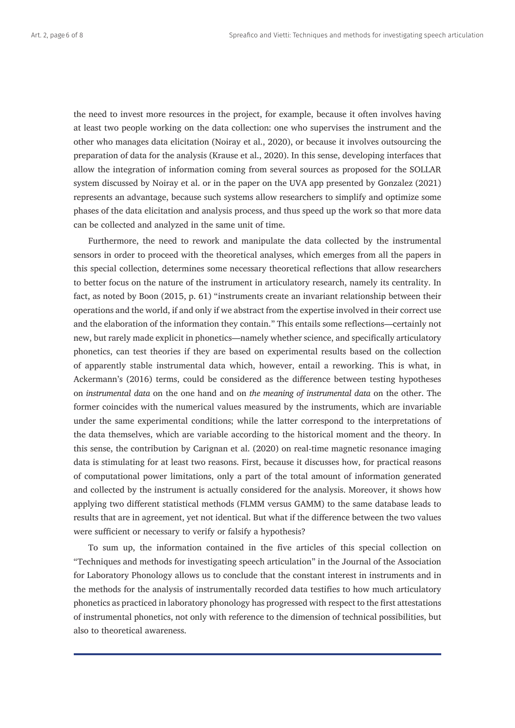the need to invest more resources in the project, for example, because it often involves having at least two people working on the data collection: one who supervises the instrument and the other who manages data elicitation (Noiray et al., 2020), or because it involves outsourcing the preparation of data for the analysis (Krause et al., 2020). In this sense, developing interfaces that allow the integration of information coming from several sources as proposed for the SOLLAR system discussed by Noiray et al. or in the paper on the UVA app presented by Gonzalez (2021) represents an advantage, because such systems allow researchers to simplify and optimize some phases of the data elicitation and analysis process, and thus speed up the work so that more data can be collected and analyzed in the same unit of time.

Furthermore, the need to rework and manipulate the data collected by the instrumental sensors in order to proceed with the theoretical analyses, which emerges from all the papers in this special collection, determines some necessary theoretical reflections that allow researchers to better focus on the nature of the instrument in articulatory research, namely its centrality. In fact, as noted by Boon (2015, p. 61) "instruments create an invariant relationship between their operations and the world, if and only if we abstract from the expertise involved in their correct use and the elaboration of the information they contain." This entails some reflections—certainly not new, but rarely made explicit in phonetics—namely whether science, and specifically articulatory phonetics, can test theories if they are based on experimental results based on the collection of apparently stable instrumental data which, however, entail a reworking. This is what, in Ackermann's (2016) terms, could be considered as the difference between testing hypotheses on *instrumental data* on the one hand and on *the meaning of instrumental data* on the other. The former coincides with the numerical values measured by the instruments, which are invariable under the same experimental conditions; while the latter correspond to the interpretations of the data themselves, which are variable according to the historical moment and the theory. In this sense, the contribution by Carignan et al. (2020) on real-time magnetic resonance imaging data is stimulating for at least two reasons. First, because it discusses how, for practical reasons of computational power limitations, only a part of the total amount of information generated and collected by the instrument is actually considered for the analysis. Moreover, it shows how applying two different statistical methods (FLMM versus GAMM) to the same database leads to results that are in agreement, yet not identical. But what if the difference between the two values were sufficient or necessary to verify or falsify a hypothesis?

To sum up, the information contained in the five articles of this special collection on "Techniques and methods for investigating speech articulation" in the Journal of the Association for Laboratory Phonology allows us to conclude that the constant interest in instruments and in the methods for the analysis of instrumentally recorded data testifies to how much articulatory phonetics as practiced in laboratory phonology has progressed with respect to the first attestations of instrumental phonetics, not only with reference to the dimension of technical possibilities, but also to theoretical awareness.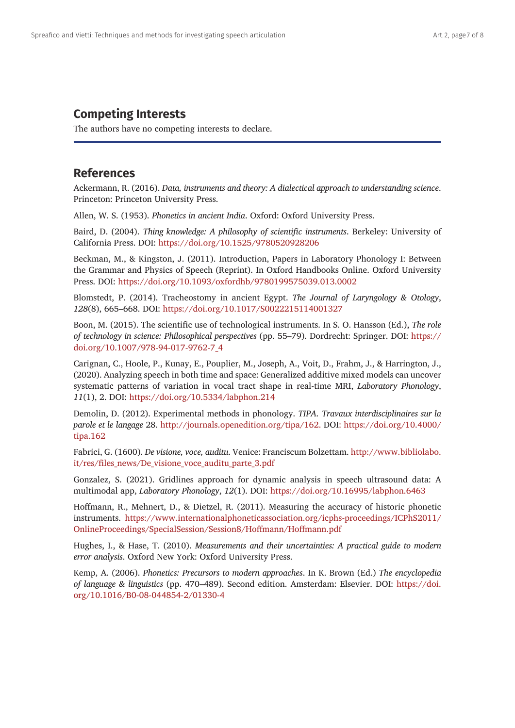## **Competing Interests**

The authors have no competing interests to declare.

## **References**

Ackermann, R. (2016). *Data, instruments and theory: A dialectical approach to understanding science*. Princeton: Princeton University Press.

Allen, W. S. (1953). *Phonetics in ancient India*. Oxford: Oxford University Press.

Baird, D. (2004). *Thing knowledge: A philosophy of scientific instruments*. Berkeley: University of California Press. DOI: <https://doi.org/10.1525/9780520928206>

Beckman, M., & Kingston, J. (2011). Introduction, Papers in Laboratory Phonology I: Between the Grammar and Physics of Speech (Reprint). In Oxford Handbooks Online. Oxford University Press. DOI: <https://doi.org/10.1093/oxfordhb/9780199575039.013.0002>

Blomstedt, P. (2014). Tracheostomy in ancient Egypt. *The Journal of Laryngology & Otology*, *128*(8), 665–668. DOI:<https://doi.org/10.1017/S0022215114001327>

Boon, M. (2015). The scientific use of technological instruments. In S. O. Hansson (Ed.), *The role of technology in science: Philosophical perspectives* (pp. 55–79). Dordrecht: Springer. DOI: [https://](https://doi.org/10.1007/978-94-017-9762-7_4) [doi.org/10.1007/978-94-017-9762-7\\_4](https://doi.org/10.1007/978-94-017-9762-7_4)

Carignan, C., Hoole, P., Kunay, E., Pouplier, M., Joseph, A., Voit, D., Frahm, J., & Harrington, J., (2020). Analyzing speech in both time and space: Generalized additive mixed models can uncover systematic patterns of variation in vocal tract shape in real-time MRI, *Laboratory Phonology*, *11*(1), 2. DOI: <https://doi.org/10.5334/labphon.214>

Demolin, D. (2012). Experimental methods in phonology. *TIPA. Travaux interdisciplinaires sur la parole et le langage* 28. [http://journals.openedition.org/tipa/162.](http://journals.openedition.org/tipa/162) DOI: [https://doi.org/10.4000/](https://doi.org/10.4000/tipa.162) [tipa.162](https://doi.org/10.4000/tipa.162)

Fabrici, G. (1600). *De visione, voce, auditu*. Venice: Franciscum Bolzettam. [http://www.bibliolabo.](http://www.bibliolabo.it/res/files_news/De_visione_voce_auditu_parte_3.pdf) [it/res/files\\_news/De\\_visione\\_voce\\_auditu\\_parte\\_3.pdf](http://www.bibliolabo.it/res/files_news/De_visione_voce_auditu_parte_3.pdf)

Gonzalez, S. (2021). Gridlines approach for dynamic analysis in speech ultrasound data: A multimodal app, *Laboratory Phonology*, *12*(1). DOI: <https://doi.org/10.16995/labphon.6463>

Hoffmann, R., Mehnert, D., & Dietzel, R. (2011). Measuring the accuracy of historic phonetic instruments. [https://www.internationalphoneticassociation.org/icphs-proceedings/ICPhS2011/](https://www.internationalphoneticassociation.org/icphs-proceedings/ICPhS2011/OnlineProceedings/SpecialSession/Session8/Hoffmann/Hoffmann.pdf) [OnlineProceedings/SpecialSession/Session8/Hoffmann/Hoffmann.pdf](https://www.internationalphoneticassociation.org/icphs-proceedings/ICPhS2011/OnlineProceedings/SpecialSession/Session8/Hoffmann/Hoffmann.pdf)

Hughes, I., & Hase, T. (2010). *Measurements and their uncertainties: A practical guide to modern error analysis*. Oxford New York: Oxford University Press.

Kemp, A. (2006). *Phonetics: Precursors to modern approaches*. In K. Brown (Ed.) *The encyclopedia of language & linguistics* (pp. 470–489). Second edition. Amsterdam: Elsevier. DOI: [https://doi.](https://doi.org/10.1016/B0-08-044854-2/01330-4) [org/10.1016/B0-08-044854-2/01330-4](https://doi.org/10.1016/B0-08-044854-2/01330-4)